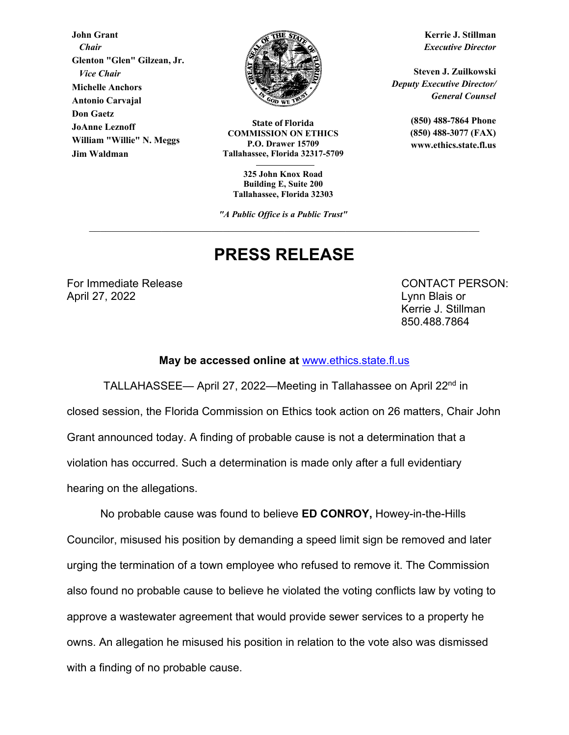**John Grant**  *Chair*  **Glenton "Glen" Gilzean, Jr.**   *Vice Chair* **Michelle Anchors Antonio Carvajal Don Gaetz JoAnne Leznoff William "Willie" N. Meggs Jim Waldman**



**State of Florida COMMISSION ON ETHICS P.O. Drawer 15709 Tallahassee, Florida 32317-5709** 

**325 John Knox Road Building E, Suite 200 Tallahassee, Florida 32303** 

*"A Public Office is a Public Trust"*

## **PRESS RELEASE**

For Immediate Release **CONTACT PERSON:** April 27, 2022 Lynn Blais or

Kerrie J. Stillman 850.488.7864

## **May be accessed online at** www.ethics.state.fl.us

 TALLAHASSEE— April 27, 2022—Meeting in Tallahassee on April 22nd in closed session, the Florida Commission on Ethics took action on 26 matters, Chair John Grant announced today. A finding of probable cause is not a determination that a violation has occurred. Such a determination is made only after a full evidentiary hearing on the allegations.

No probable cause was found to believe **ED CONROY,** Howey-in-the-Hills Councilor, misused his position by demanding a speed limit sign be removed and later urging the termination of a town employee who refused to remove it. The Commission also found no probable cause to believe he violated the voting conflicts law by voting to approve a wastewater agreement that would provide sewer services to a property he owns. An allegation he misused his position in relation to the vote also was dismissed with a finding of no probable cause.

**Kerrie J. Stillman** *Executive Director* 

**Steven J. Zuilkowski**  *Deputy Executive Director/ General Counsel* 

> **(850) 488-7864 Phone (850) 488-3077 (FAX) www.ethics.state.fl.us**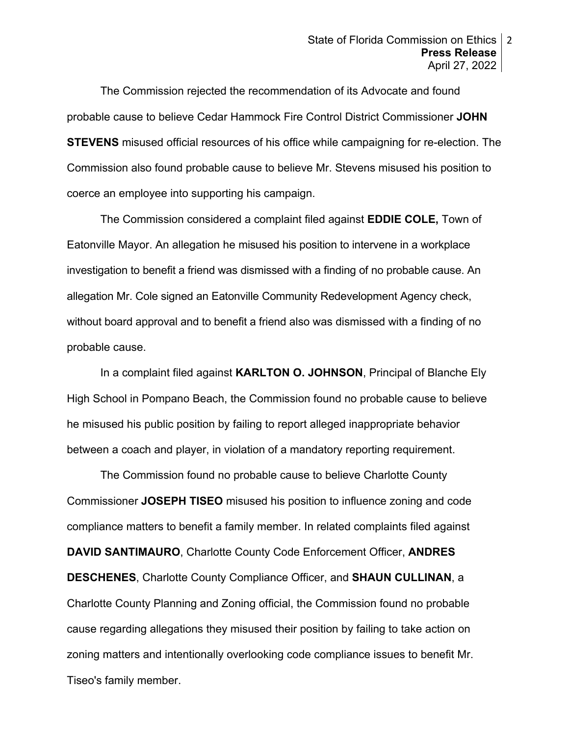The Commission rejected the recommendation of its Advocate and found probable cause to believe Cedar Hammock Fire Control District Commissioner **JOHN STEVENS** misused official resources of his office while campaigning for re-election. The Commission also found probable cause to believe Mr. Stevens misused his position to coerce an employee into supporting his campaign.

The Commission considered a complaint filed against **EDDIE COLE,** Town of Eatonville Mayor. An allegation he misused his position to intervene in a workplace investigation to benefit a friend was dismissed with a finding of no probable cause. An allegation Mr. Cole signed an Eatonville Community Redevelopment Agency check, without board approval and to benefit a friend also was dismissed with a finding of no probable cause.

In a complaint filed against **KARLTON O. JOHNSON**, Principal of Blanche Ely High School in Pompano Beach, the Commission found no probable cause to believe he misused his public position by failing to report alleged inappropriate behavior between a coach and player, in violation of a mandatory reporting requirement.

The Commission found no probable cause to believe Charlotte County Commissioner **JOSEPH TISEO** misused his position to influence zoning and code compliance matters to benefit a family member. In related complaints filed against **DAVID SANTIMAURO**, Charlotte County Code Enforcement Officer, **ANDRES DESCHENES**, Charlotte County Compliance Officer, and **SHAUN CULLINAN**, a Charlotte County Planning and Zoning official, the Commission found no probable cause regarding allegations they misused their position by failing to take action on zoning matters and intentionally overlooking code compliance issues to benefit Mr. Tiseo's family member.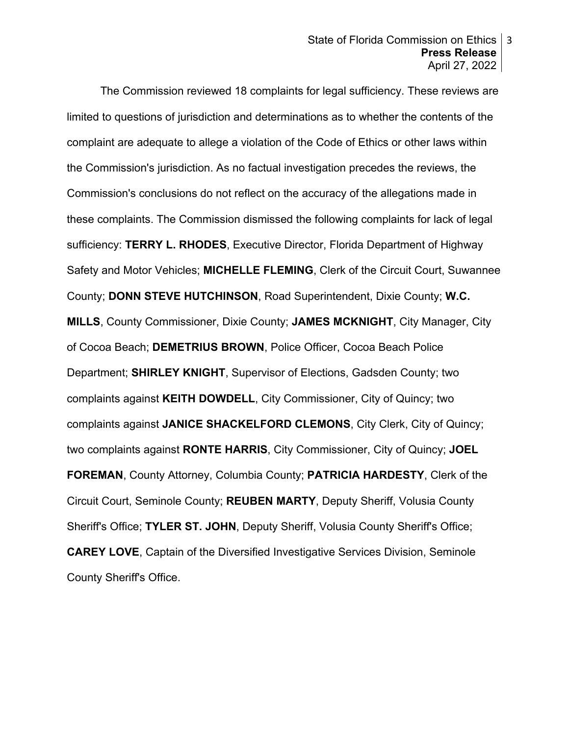The Commission reviewed 18 complaints for legal sufficiency. These reviews are limited to questions of jurisdiction and determinations as to whether the contents of the complaint are adequate to allege a violation of the Code of Ethics or other laws within the Commission's jurisdiction. As no factual investigation precedes the reviews, the Commission's conclusions do not reflect on the accuracy of the allegations made in these complaints. The Commission dismissed the following complaints for lack of legal sufficiency: **TERRY L. RHODES**, Executive Director, Florida Department of Highway Safety and Motor Vehicles; **MICHELLE FLEMING**, Clerk of the Circuit Court, Suwannee County; **DONN STEVE HUTCHINSON**, Road Superintendent, Dixie County; **W.C. MILLS**, County Commissioner, Dixie County; **JAMES MCKNIGHT**, City Manager, City of Cocoa Beach; **DEMETRIUS BROWN**, Police Officer, Cocoa Beach Police Department; **SHIRLEY KNIGHT**, Supervisor of Elections, Gadsden County; two complaints against **KEITH DOWDELL**, City Commissioner, City of Quincy; two complaints against **JANICE SHACKELFORD CLEMONS**, City Clerk, City of Quincy; two complaints against **RONTE HARRIS**, City Commissioner, City of Quincy; **JOEL FOREMAN**, County Attorney, Columbia County; **PATRICIA HARDESTY**, Clerk of the Circuit Court, Seminole County; **REUBEN MARTY**, Deputy Sheriff, Volusia County Sheriff's Office; **TYLER ST. JOHN**, Deputy Sheriff, Volusia County Sheriff's Office; **CAREY LOVE**, Captain of the Diversified Investigative Services Division, Seminole County Sheriff's Office.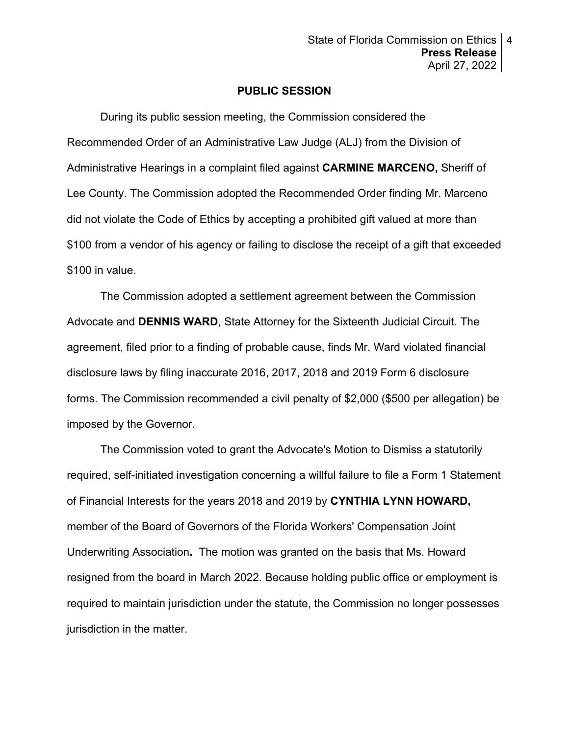## **PUBLIC SESSION**

During its public session meeting, the Commission considered the Recommended Order of an Administrative Law Judge (ALJ) from the Division of Administrative Hearings in a complaint filed against **CARMINE MARCENO,** Sheriff of Lee County. The Commission adopted the Recommended Order finding Mr. Marceno did not violate the Code of Ethics by accepting a prohibited gift valued at more than \$100 from a vendor of his agency or failing to disclose the receipt of a gift that exceeded \$100 in value.

 The Commission adopted a settlement agreement between the Commission Advocate and **DENNIS WARD**, State Attorney for the Sixteenth Judicial Circuit. The agreement, filed prior to a finding of probable cause, finds Mr. Ward violated financial disclosure laws by filing inaccurate 2016, 2017, 2018 and 2019 Form 6 disclosure forms. The Commission recommended a civil penalty of \$2,000 (\$500 per allegation) be imposed by the Governor.

 The Commission voted to grant the Advocate's Motion to Dismiss a statutorily required, self-initiated investigation concerning a willful failure to file a Form 1 Statement of Financial Interests for the years 2018 and 2019 by **CYNTHIA LYNN HOWARD,**  member of the Board of Governors of the Florida Workers' Compensation Joint Underwriting Association**.** The motion was granted on the basis that Ms. Howard resigned from the board in March 2022. Because holding public office or employment is required to maintain jurisdiction under the statute, the Commission no longer possesses jurisdiction in the matter.